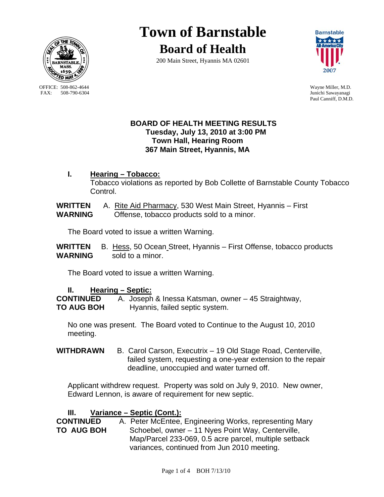

OFFICE: 508-862-4644 Wayne Miller, M.D.<br>
FAX: 508-790-6304 Junichi Sawavanagi

# **Town of Barnstable**

**Board of Health**





Junichi Sawayanagi Paul Canniff, D.M.D.

## **BOARD OF HEALTH MEETING RESULTS Tuesday, July 13, 2010 at 3:00 PM Town Hall, Hearing Room 367 Main Street, Hyannis, MA**

**I. Hearing – Tobacco:** Tobacco violations as reported by Bob Collette of Barnstable County Tobacco Control.

**WRITTEN** A. Rite Aid Pharmacy, 530 West Main Street, Hyannis – First **WARNING** Offense, tobacco products sold to a minor.

The Board voted to issue a written Warning.

**WRITTEN** B. Hess, 50 Ocean Street, Hyannis – First Offense, tobacco products **WARNING** sold to a minor.

The Board voted to issue a written Warning.

# **II. Hearing – Septic:**

**CONTINUED** A. Joseph & Inessa Katsman, owner – 45 Straightway, **TO AUG BOH** Hyannis, failed septic system.

No one was present. The Board voted to Continue to the August 10, 2010 meeting.

WITHDRAWN B. Carol Carson, Executrix - 19 Old Stage Road, Centerville, failed system, requesting a one-year extension to the repair deadline, unoccupied and water turned off.

Applicant withdrew request. Property was sold on July 9, 2010. New owner, Edward Lennon, is aware of requirement for new septic.

# **III. Variance – Septic (Cont.):**

**CONTINUED** A. Peter McEntee, Engineering Works, representing Mary **TO AUG BOH** Schoebel, owner – 11 Nyes Point Way, Centerville, Map/Parcel 233-069, 0.5 acre parcel, multiple setback variances, continued from Jun 2010 meeting.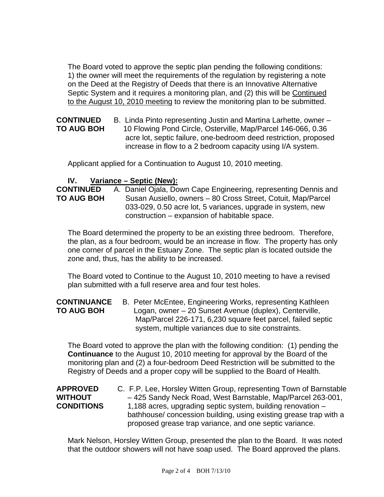The Board voted to approve the septic plan pending the following conditions: 1) the owner will meet the requirements of the regulation by registering a note on the Deed at the Registry of Deeds that there is an Innovative Alternative Septic System and it requires a monitoring plan, and (2) this will be Continued to the August 10, 2010 meeting to review the monitoring plan to be submitted.

**CONTINUED** B. Linda Pinto representing Justin and Martina Larhette, owner – **TO AUG BOH** 10 Flowing Pond Circle, Osterville, Map/Parcel 146-066, 0.36 acre lot, septic failure, one-bedroom deed restriction, proposed increase in flow to a 2 bedroom capacity using I/A system.

Applicant applied for a Continuation to August 10, 2010 meeting.

## **IV. Variance – Septic (New):**

**CONTINUED** A. Daniel Ojala, Down Cape Engineering, representing Dennis and **TO AUG BOH** Susan Ausiello, owners – 80 Cross Street, Cotuit, Map/Parcel 033-029, 0.50 acre lot, 5 variances, upgrade in system, new construction – expansion of habitable space.

The Board determined the property to be an existing three bedroom. Therefore, the plan, as a four bedroom, would be an increase in flow. The property has only one corner of parcel in the Estuary Zone. The septic plan is located outside the zone and, thus, has the ability to be increased.

The Board voted to Continue to the August 10, 2010 meeting to have a revised plan submitted with a full reserve area and four test holes.

## **CONTINUANCE** B. Peter McEntee, Engineering Works, representing Kathleen **TO AUG BOH** Logan, owner – 20 Sunset Avenue (duplex), Centerville, Map/Parcel 226-171, 6,230 square feet parcel, failed septic system, multiple variances due to site constraints.

The Board voted to approve the plan with the following condition: (1) pending the **Continuance** to the August 10, 2010 meeting for approval by the Board of the monitoring plan and (2) a four-bedroom Deed Restriction will be submitted to the Registry of Deeds and a proper copy will be supplied to the Board of Health.

| <b>APPROVED</b>   | C. F.P. Lee, Horsley Witten Group, representing Town of Barnstable |
|-------------------|--------------------------------------------------------------------|
| <b>WITHOUT</b>    | -425 Sandy Neck Road, West Barnstable, Map/Parcel 263-001,         |
| <b>CONDITIONS</b> | 1,188 acres, upgrading septic system, building renovation –        |
|                   | bathhouse/ concession building, using existing grease trap with a  |
|                   | proposed grease trap variance, and one septic variance.            |

Mark Nelson, Horsley Witten Group, presented the plan to the Board. It was noted that the outdoor showers will not have soap used. The Board approved the plans.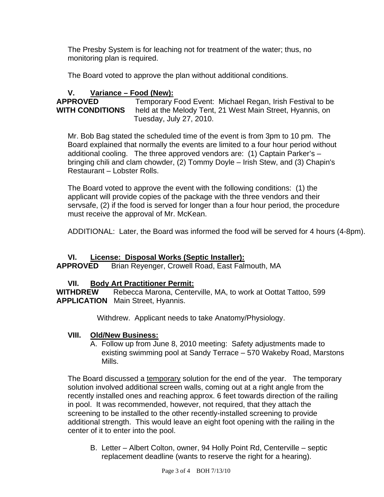The Presby System is for leaching not for treatment of the water; thus, no monitoring plan is required.

The Board voted to approve the plan without additional conditions.

## **V. Variance – Food (New):**

**APPROVED** Temporary Food Event: Michael Regan, Irish Festival to be **WITH CONDITIONS** held at the Melody Tent, 21 West Main Street, Hyannis, on Tuesday, July 27, 2010.

Mr. Bob Bag stated the scheduled time of the event is from 3pm to 10 pm. The Board explained that normally the events are limited to a four hour period without additional cooling. The three approved vendors are: (1) Captain Parker's – bringing chili and clam chowder, (2) Tommy Doyle – Irish Stew, and (3) Chapin's Restaurant – Lobster Rolls.

The Board voted to approve the event with the following conditions: (1) the applicant will provide copies of the package with the three vendors and their servsafe, (2) if the food is served for longer than a four hour period, the procedure must receive the approval of Mr. McKean.

ADDITIONAL: Later, the Board was informed the food will be served for 4 hours (4-8pm).

## **VI. License: Disposal Works (Septic Installer):**

**APPROVED** Brian Reyenger, Crowell Road, East Falmouth, MA

## **VII. Body Art Practitioner Permit:**

**WITHDREW** Rebecca Marona, Centerville, MA, to work at Oottat Tattoo, 599 **APPLICATION** Main Street, Hyannis.

Withdrew. Applicant needs to take Anatomy/Physiology.

#### **VIII. Old/New Business:**

A. Follow up from June 8, 2010 meeting: Safety adjustments made to existing swimming pool at Sandy Terrace – 570 Wakeby Road, Marstons Mills.

The Board discussed a temporary solution for the end of the year. The temporary solution involved additional screen walls, coming out at a right angle from the recently installed ones and reaching approx. 6 feet towards direction of the railing in pool. It was recommended, however, not required, that they attach the screening to be installed to the other recently-installed screening to provide additional strength. This would leave an eight foot opening with the railing in the center of it to enter into the pool.

B. Letter – Albert Colton, owner, 94 Holly Point Rd, Centerville – septic replacement deadline (wants to reserve the right for a hearing).